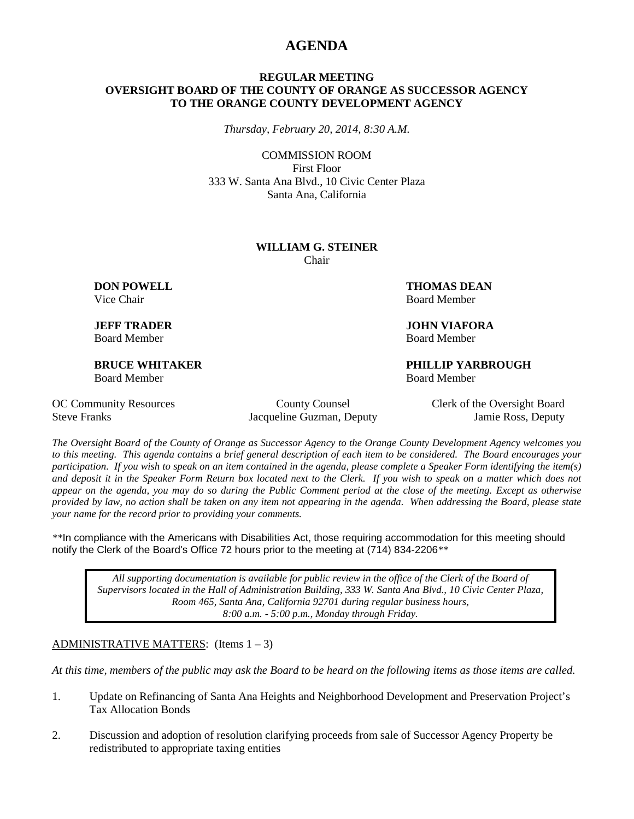## **AGENDA**

### **REGULAR MEETING OVERSIGHT BOARD OF THE COUNTY OF ORANGE AS SUCCESSOR AGENCY TO THE ORANGE COUNTY DEVELOPMENT AGENCY**

*Thursday, February 20, 2014, 8:30 A.M.*

COMMISSION ROOM First Floor 333 W. Santa Ana Blvd., 10 Civic Center Plaza Santa Ana, California

#### **WILLIAM G. STEINER** Chair

Board Member Board Member

Board Member Board Member

**DON POWELL THOMAS DEAN** Vice Chair **Board Member** Board Member

**JEFF TRADER JOHN VIAFORA**

**BRUCE WHITAKER PHILLIP YARBROUGH**

Steve Franks Jacqueline Guzman, Deputy Jamie Ross, Deputy

OC Community Resources County County Counsel Clerk of the Oversight Board

*The Oversight Board of the County of Orange as Successor Agency to the Orange County Development Agency welcomes you to this meeting. This agenda contains a brief general description of each item to be considered. The Board encourages your participation. If you wish to speak on an item contained in the agenda, please complete a Speaker Form identifying the item(s) and deposit it in the Speaker Form Return box located next to the Clerk. If you wish to speak on a matter which does not appear on the agenda, you may do so during the Public Comment period at the close of the meeting. Except as otherwise provided by law, no action shall be taken on any item not appearing in the agenda. When addressing the Board, please state your name for the record prior to providing your comments.* 

*\*\**In compliance with the Americans with Disabilities Act, those requiring accommodation for this meeting should notify the Clerk of the Board's Office 72 hours prior to the meeting at (714) 834-2206*\*\**

*All supporting documentation is available for public review in the office of the Clerk of the Board of Supervisors located in the Hall of Administration Building, 333 W. Santa Ana Blvd., 10 Civic Center Plaza, Room 465, Santa Ana, California 92701 during regular business hours, 8:00 a.m. - 5:00 p.m., Monday through Friday.*

### ADMINISTRATIVE MATTERS: (Items  $1 - 3$ )

*At this time, members of the public may ask the Board to be heard on the following items as those items are called.*

- 1. Update on Refinancing of Santa Ana Heights and Neighborhood Development and Preservation Project's Tax Allocation Bonds
- 2. Discussion and adoption of resolution clarifying proceeds from sale of Successor Agency Property be redistributed to appropriate taxing entities